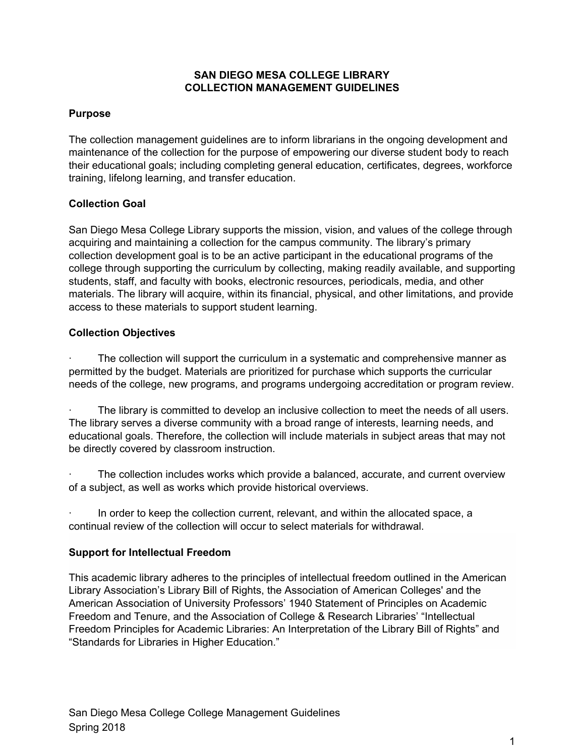## **SAN DIEGO MESA COLLEGE LIBRARY COLLECTION MANAGEMENT GUIDELINES**

## **Purpose**

The collection management guidelines are to inform librarians in the ongoing development and maintenance of the collection for the purpose of empowering our diverse student body to reach their educational goals; including completing general education, certificates, degrees, workforce training, lifelong learning, and transfer education.

## **Collection Goal**

San Diego Mesa College Library supports the mission, vision, and values of the college through acquiring and maintaining a collection for the campus community. The library's primary collection development goal is to be an active participant in the educational programs of the college through supporting the curriculum by collecting, making readily available, and supporting students, staff, and faculty with books, electronic resources, periodicals, media, and other materials. The library will acquire, within its financial, physical, and other limitations, and provide access to these materials to support student learning.

## **Collection Objectives**

The collection will support the curriculum in a systematic and comprehensive manner as permitted by the budget. Materials are prioritized for purchase which supports the curricular needs of the college, new programs, and programs undergoing accreditation or program review.

The library is committed to develop an inclusive collection to meet the needs of all users. The library serves a diverse community with a broad range of interests, learning needs, and educational goals. Therefore, the collection will include materials in subject areas that may not be directly covered by classroom instruction.

The collection includes works which provide a balanced, accurate, and current overview of a subject, as well as works which provide historical overviews.

In order to keep the collection current, relevant, and within the allocated space, a continual review of the collection will occur to select materials for withdrawal.

### **Support for Intellectual Freedom**

This academic library adheres to the principles of intellectual freedom outlined in the American Library Association's Library Bill of Rights, the Association of American Colleges' and the American Association of University Professors' 1940 Statement of Principles on Academic Freedom and Tenure, and the Association of College & Research Libraries' "Intellectual Freedom Principles for Academic Libraries: An Interpretation of the Library Bill of Rights" and "Standards for Libraries in Higher Education."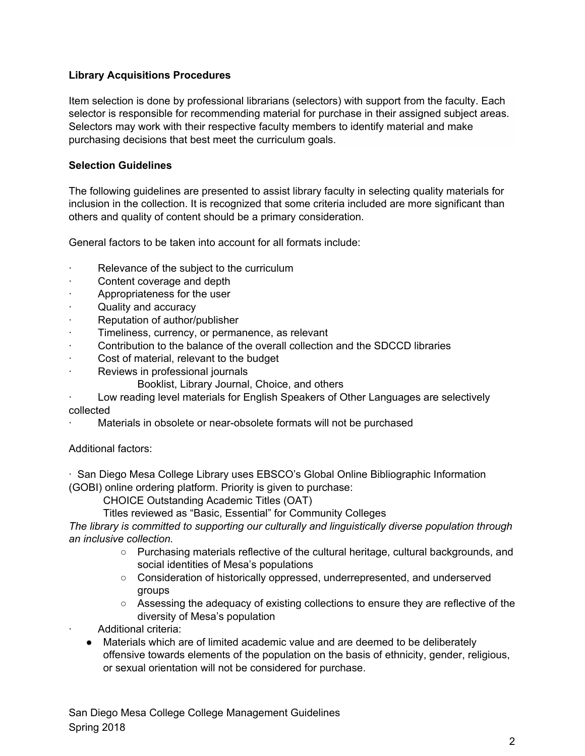## **Library Acquisitions Procedures**

Item selection is done by professional librarians (selectors) with support from the faculty. Each selector is responsible for recommending material for purchase in their assigned subject areas. Selectors may work with their respective faculty members to identify material and make purchasing decisions that best meet the curriculum goals.

### **Selection Guidelines**

The following guidelines are presented to assist library faculty in selecting quality materials for inclusion in the collection. It is recognized that some criteria included are more significant than others and quality of content should be a primary consideration.

General factors to be taken into account for all formats include:

- Relevance of the subject to the curriculum
- Content coverage and depth
- · Appropriateness for the user
- Quality and accuracy
- Reputation of author/publisher
- Timeliness, currency, or permanence, as relevant
- · Contribution to the balance of the overall collection and the SDCCD libraries
- Cost of material, relevant to the budget
- Reviews in professional journals
	- Booklist, Library Journal, Choice, and others
- Low reading level materials for English Speakers of Other Languages are selectively collected
- Materials in obsolete or near-obsolete formats will not be purchased

### Additional factors:

· San Diego Mesa College Library uses EBSCO's Global Online Bibliographic Information (GOBI) online ordering platform. Priority is given to purchase:

CHOICE Outstanding Academic Titles (OAT)

Titles reviewed as "Basic, Essential" for Community Colleges

*The library is committed to supporting our culturally and linguistically diverse population through an inclusive collection.*

- Purchasing materials reflective of the cultural heritage, cultural backgrounds, and social identities of Mesa's populations
- Consideration of historically oppressed, underrepresented, and underserved groups
- Assessing the adequacy of existing collections to ensure they are reflective of the diversity of Mesa's population

Additional criteria:

● Materials which are of limited academic value and are deemed to be deliberately offensive towards elements of the population on the basis of ethnicity, gender, religious, or sexual orientation will not be considered for purchase.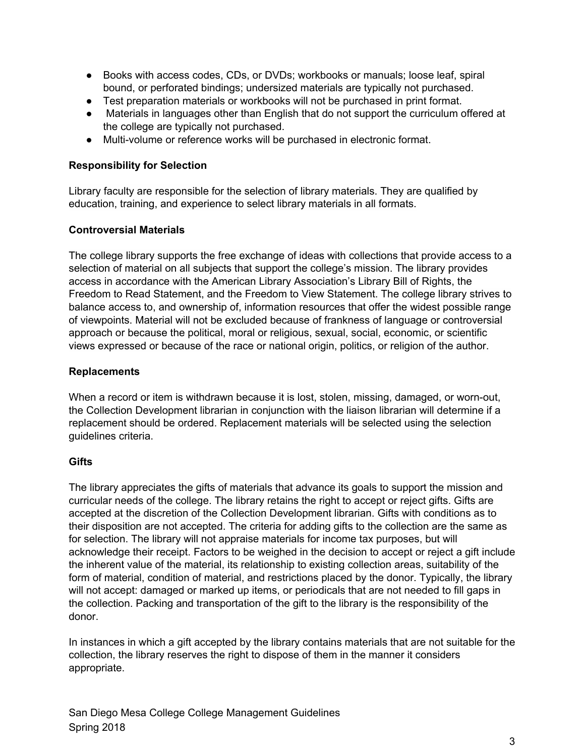- Books with access codes, CDs, or DVDs; workbooks or manuals; loose leaf, spiral bound, or perforated bindings; undersized materials are typically not purchased.
- Test preparation materials or workbooks will not be purchased in print format.
- Materials in languages other than English that do not support the curriculum offered at the college are typically not purchased.
- Multi-volume or reference works will be purchased in electronic format.

## **Responsibility for Selection**

Library faculty are responsible for the selection of library materials. They are qualified by education, training, and experience to select library materials in all formats.

### **Controversial Materials**

The college library supports the free exchange of ideas with collections that provide access to a selection of material on all subjects that support the college's mission. The library provides access in accordance with the American Library Association's Library Bill of Rights, the Freedom to Read Statement, and the Freedom to View Statement. The college library strives to balance access to, and ownership of, information resources that offer the widest possible range of viewpoints. Material will not be excluded because of frankness of language or controversial approach or because the political, moral or religious, sexual, social, economic, or scientific views expressed or because of the race or national origin, politics, or religion of the author.

### **Replacements**

When a record or item is withdrawn because it is lost, stolen, missing, damaged, or worn-out, the Collection Development librarian in conjunction with the liaison librarian will determine if a replacement should be ordered. Replacement materials will be selected using the selection guidelines criteria.

### **Gifts**

The library appreciates the gifts of materials that advance its goals to support the mission and curricular needs of the college. The library retains the right to accept or reject gifts. Gifts are accepted at the discretion of the Collection Development librarian. Gifts with conditions as to their disposition are not accepted. The criteria for adding gifts to the collection are the same as for selection. The library will not appraise materials for income tax purposes, but will acknowledge their receipt. Factors to be weighed in the decision to accept or reject a gift include the inherent value of the material, its relationship to existing collection areas, suitability of the form of material, condition of material, and restrictions placed by the donor. Typically, the library will not accept: damaged or marked up items, or periodicals that are not needed to fill gaps in the collection. Packing and transportation of the gift to the library is the responsibility of the donor.

In instances in which a gift accepted by the library contains materials that are not suitable for the collection, the library reserves the right to dispose of them in the manner it considers appropriate.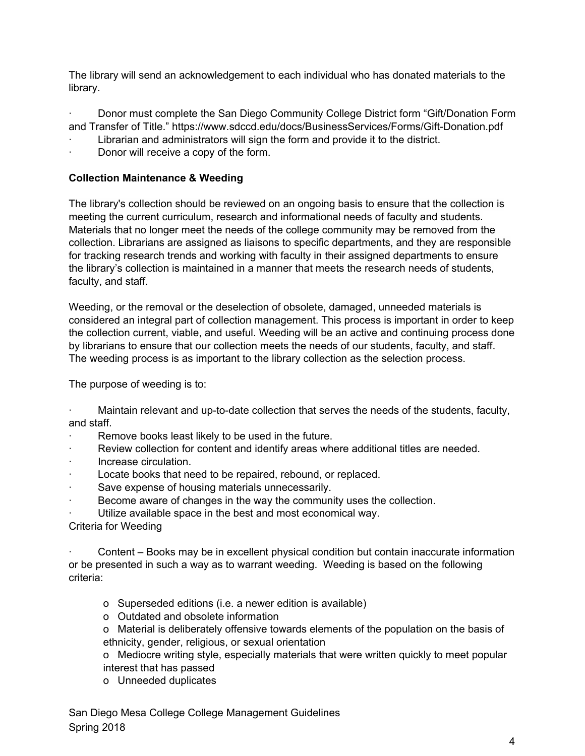The library will send an acknowledgement to each individual who has donated materials to the library.

· Donor must complete the San Diego Community College District form "Gift/Donation Form and Transfer of Title." https://www.sdccd.edu/docs/BusinessServices/Forms/Gift-Donation.pdf

- Librarian and administrators will sign the form and provide it to the district.
- Donor will receive a copy of the form.

# **Collection Maintenance & Weeding**

The library's collection should be reviewed on an ongoing basis to ensure that the collection is meeting the current curriculum, research and informational needs of faculty and students. Materials that no longer meet the needs of the college community may be removed from the collection. Librarians are assigned as liaisons to specific departments, and they are responsible for tracking research trends and working with faculty in their assigned departments to ensure the library's collection is maintained in a manner that meets the research needs of students, faculty, and staff.

Weeding, or the removal or the deselection of obsolete, damaged, unneeded materials is considered an integral part of collection management. This process is important in order to keep the collection current, viable, and useful. Weeding will be an active and continuing process done by librarians to ensure that our collection meets the needs of our students, faculty, and staff. The weeding process is as important to the library collection as the selection process.

The purpose of weeding is to:

· Maintain relevant and up-to-date collection that serves the needs of the students, faculty, and staff.

- Remove books least likely to be used in the future.
- Review collection for content and identify areas where additional titles are needed.
- · Increase circulation.
- Locate books that need to be repaired, rebound, or replaced.
- Save expense of housing materials unnecessarily.
- Become aware of changes in the way the community uses the collection.
- Utilize available space in the best and most economical way.

### Criteria for Weeding

· Content – Books may be in excellent physical condition but contain inaccurate information or be presented in such a way as to warrant weeding. Weeding is based on the following criteria:

- o Superseded editions (i.e. a newer edition is available)
- o Outdated and obsolete information

o Material is deliberately offensive towards elements of the population on the basis of ethnicity, gender, religious, or sexual orientation

o Mediocre writing style, especially materials that were written quickly to meet popular interest that has passed

o Unneeded duplicates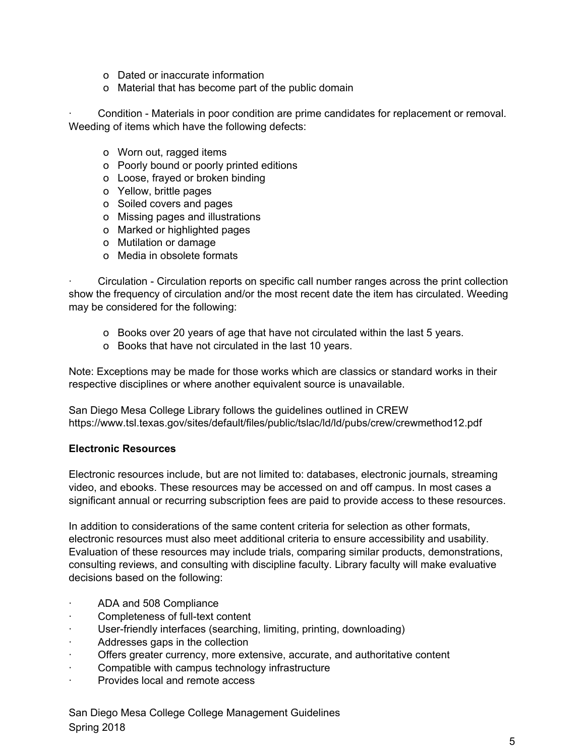- o Dated or inaccurate information
- o Material that has become part of the public domain

· Condition - Materials in poor condition are prime candidates for replacement or removal. Weeding of items which have the following defects:

- o Worn out, ragged items
- o Poorly bound or poorly printed editions
- o Loose, frayed or broken binding
- o Yellow, brittle pages
- o Soiled covers and pages
- o Missing pages and illustrations
- o Marked or highlighted pages
- o Mutilation or damage
- o Media in obsolete formats

· Circulation - Circulation reports on specific call number ranges across the print collection show the frequency of circulation and/or the most recent date the item has circulated. Weeding may be considered for the following:

- o Books over 20 years of age that have not circulated within the last 5 years.
- o Books that have not circulated in the last 10 years.

Note: Exceptions may be made for those works which are classics or standard works in their respective disciplines or where another equivalent source is unavailable.

San Diego Mesa College Library follows the guidelines outlined in CREW https://www.tsl.texas.gov/sites/default/files/public/tslac/ld/ld/pubs/crew/crewmethod12.pdf

#### **Electronic Resources**

Electronic resources include, but are not limited to: databases, electronic journals, streaming video, and ebooks. These resources may be accessed on and off campus. In most cases a significant annual or recurring subscription fees are paid to provide access to these resources.

In addition to considerations of the same content criteria for selection as other formats, electronic resources must also meet additional criteria to ensure accessibility and usability. Evaluation of these resources may include trials, comparing similar products, demonstrations, consulting reviews, and consulting with discipline faculty. Library faculty will make evaluative decisions based on the following:

- ADA and 508 Compliance
- Completeness of full-text content
- User-friendly interfaces (searching, limiting, printing, downloading)
- Addresses gaps in the collection
- Offers greater currency, more extensive, accurate, and authoritative content
- Compatible with campus technology infrastructure
- Provides local and remote access

San Diego Mesa College College Management Guidelines Spring 2018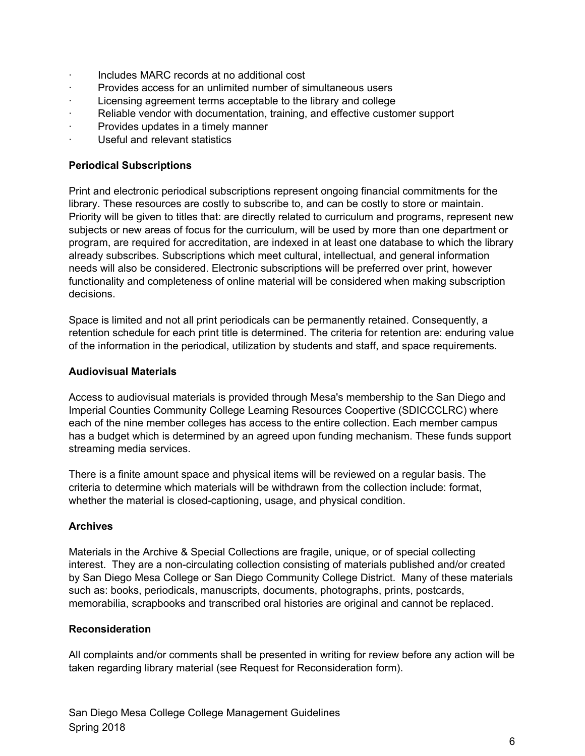- · Includes MARC records at no additional cost
- · Provides access for an unlimited number of simultaneous users
- Licensing agreement terms acceptable to the library and college
- · Reliable vendor with documentation, training, and effective customer support
- Provides updates in a timely manner
- · Useful and relevant statistics

## **Periodical Subscriptions**

Print and electronic periodical subscriptions represent ongoing financial commitments for the library. These resources are costly to subscribe to, and can be costly to store or maintain. Priority will be given to titles that: are directly related to curriculum and programs, represent new subjects or new areas of focus for the curriculum, will be used by more than one department or program, are required for accreditation, are indexed in at least one database to which the library already subscribes. Subscriptions which meet cultural, intellectual, and general information needs will also be considered. Electronic subscriptions will be preferred over print, however functionality and completeness of online material will be considered when making subscription decisions.

Space is limited and not all print periodicals can be permanently retained. Consequently, a retention schedule for each print title is determined. The criteria for retention are: enduring value of the information in the periodical, utilization by students and staff, and space requirements.

### **Audiovisual Materials**

Access to audiovisual materials is provided through Mesa's membership to the San Diego and Imperial Counties Community College Learning Resources Coopertive (SDICCCLRC) where each of the nine member colleges has access to the entire collection. Each member campus has a budget which is determined by an agreed upon funding mechanism. These funds support streaming media services.

There is a finite amount space and physical items will be reviewed on a regular basis. The criteria to determine which materials will be withdrawn from the collection include: format, whether the material is closed-captioning, usage, and physical condition.

## **Archives**

Materials in the Archive & Special Collections are fragile, unique, or of special collecting interest. They are a non-circulating collection consisting of materials published and/or created by San Diego Mesa College or San Diego Community College District. Many of these materials such as: books, periodicals, manuscripts, documents, photographs, prints, postcards, memorabilia, scrapbooks and transcribed oral histories are original and cannot be replaced.

### **Reconsideration**

All complaints and/or comments shall be presented in writing for review before any action will be taken regarding library material (see Request for Reconsideration form).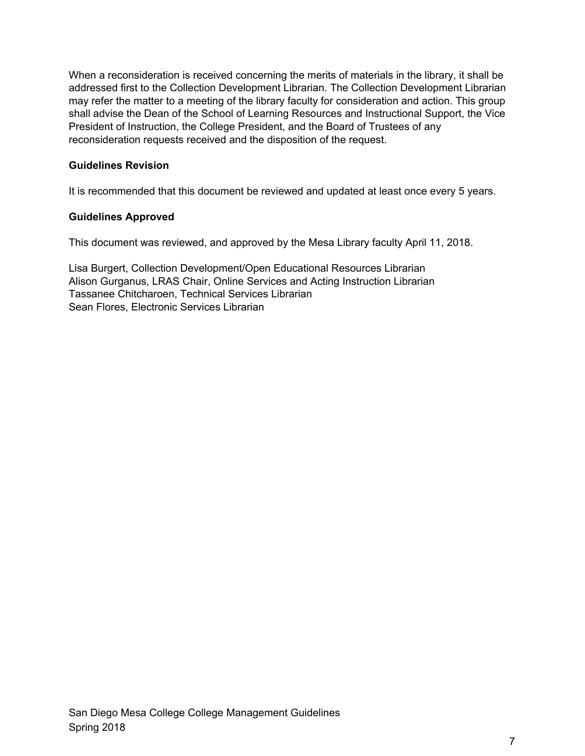When a reconsideration is received concerning the merits of materials in the library, it shall be addressed first to the Collection Development Librarian. The Collection Development Librarian may refer the matter to a meeting of the library faculty for consideration and action. This group shall advise the Dean of the School of Learning Resources and Instructional Support, the Vice President of Instruction, the College President, and the Board of Trustees of any reconsideration requests received and the disposition of the request.

## **Guidelines Revision**

It is recommended that this document be reviewed and updated at least once every 5 years.

## **Guidelines Approved**

This document was reviewed, and approved by the Mesa Library faculty April 11, 2018.

Lisa Burgert, Collection Development/Open Educational Resources Librarian Alison Gurganus, LRAS Chair, Online Services and Acting Instruction Librarian Tassanee Chitcharoen, Technical Services Librarian Sean Flores, Electronic Services Librarian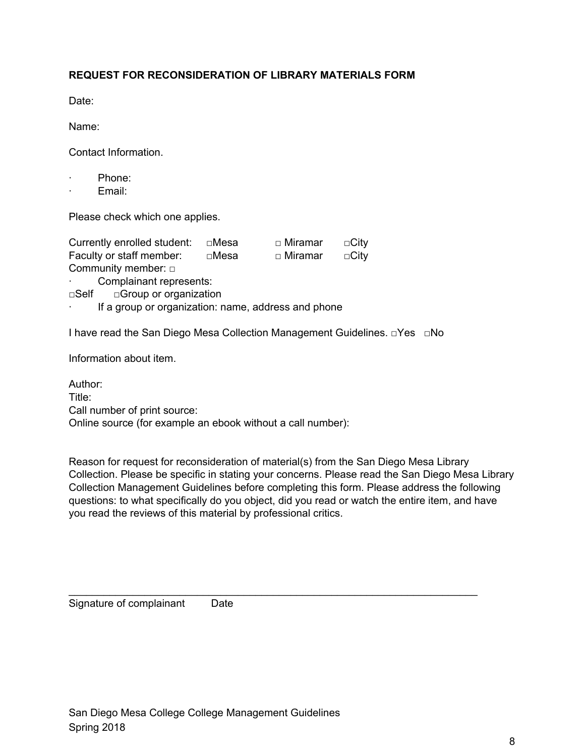## **REQUEST FOR RECONSIDERATION OF LIBRARY MATERIALS FORM**

Date:

Name:

Contact Information.

- Phone:
- Email:

Please check which one applies.

| Currently enrolled student: | ⊡Mesa | □ Miramar | $\Box$ City |
|-----------------------------|-------|-----------|-------------|
| Faculty or staff member:    | □Mesa | □ Miramar | $\Box$ Citv |
| Community member: $\Box$    |       |           |             |

Complainant represents:

□Self □Group or organization

If a group or organization: name, address and phone

I have read the San Diego Mesa Collection Management Guidelines. □Yes □No

Information about item.

Author: Title: Call number of print source: Online source (for example an ebook without a call number):

Reason for request for reconsideration of material(s) from the San Diego Mesa Library Collection. Please be specific in stating your concerns. Please read the San Diego Mesa Library Collection Management Guidelines before completing this form. Please address the following questions: to what specifically do you object, did you read or watch the entire item, and have you read the reviews of this material by professional critics.

\_\_\_\_\_\_\_\_\_\_\_\_\_\_\_\_\_\_\_\_\_\_\_\_\_\_\_\_\_\_\_\_\_\_\_\_\_\_\_\_\_\_\_\_\_\_\_\_\_\_\_\_\_\_\_\_\_\_\_\_\_\_\_\_\_\_\_\_\_\_

Signature of complainant Date